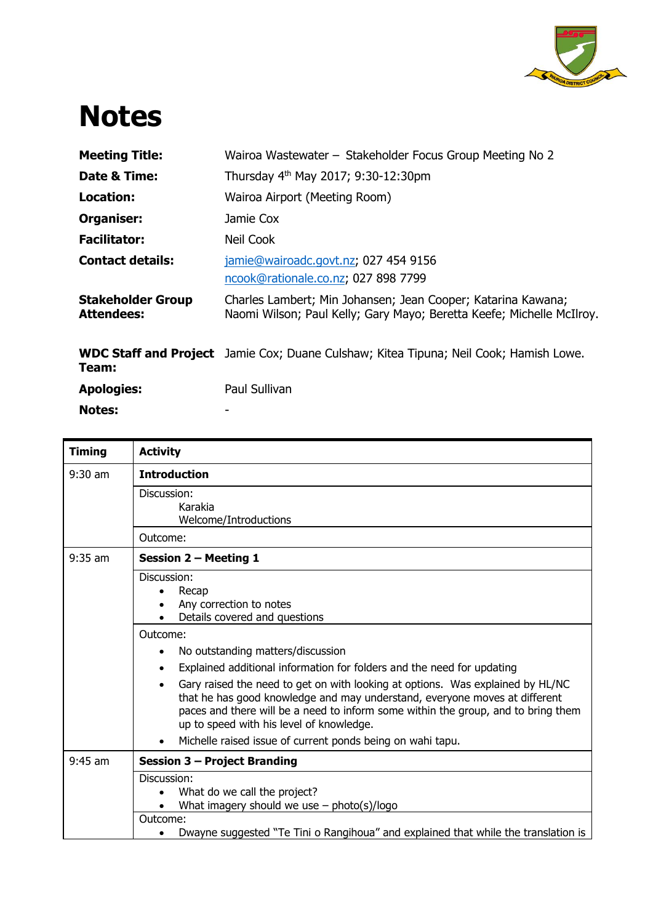

## **Notes**

| <b>Meeting Title:</b>                         | Wairoa Wastewater - Stakeholder Focus Group Meeting No 2                                                                              |
|-----------------------------------------------|---------------------------------------------------------------------------------------------------------------------------------------|
| Date & Time:                                  | Thursday 4 <sup>th</sup> May 2017; 9:30-12:30pm                                                                                       |
| Location:                                     | Wairoa Airport (Meeting Room)                                                                                                         |
| Organiser:                                    | Jamie Cox                                                                                                                             |
| <b>Facilitator:</b>                           | Neil Cook                                                                                                                             |
| <b>Contact details:</b>                       | jamie@wairoadc.govt.nz; 027 454 9156<br>ncook@rationale.co.nz; 027 898 7799                                                           |
| <b>Stakeholder Group</b><br><b>Attendees:</b> | Charles Lambert; Min Johansen; Jean Cooper; Katarina Kawana;<br>Naomi Wilson; Paul Kelly; Gary Mayo; Beretta Keefe; Michelle McIlroy. |
| Team:                                         | <b>WDC Staff and Project</b> Jamie Cox; Duane Culshaw; Kitea Tipuna; Neil Cook; Hamish Lowe.                                          |
| <b>Apologies:</b>                             | Paul Sullivan                                                                                                                         |
| <b>Notes:</b>                                 |                                                                                                                                       |

| <b>Activity</b>                                                                                                                                                                                                                                                                                                                                                                                                                                                                                                                                                            |
|----------------------------------------------------------------------------------------------------------------------------------------------------------------------------------------------------------------------------------------------------------------------------------------------------------------------------------------------------------------------------------------------------------------------------------------------------------------------------------------------------------------------------------------------------------------------------|
| <b>Introduction</b>                                                                                                                                                                                                                                                                                                                                                                                                                                                                                                                                                        |
| Discussion:<br>Karakia<br>Welcome/Introductions                                                                                                                                                                                                                                                                                                                                                                                                                                                                                                                            |
| Outcome:                                                                                                                                                                                                                                                                                                                                                                                                                                                                                                                                                                   |
| Session 2 - Meeting 1                                                                                                                                                                                                                                                                                                                                                                                                                                                                                                                                                      |
| Discussion:<br>Recap<br>Any correction to notes<br>Details covered and questions<br>Outcome:<br>No outstanding matters/discussion<br>Explained additional information for folders and the need for updating<br>Gary raised the need to get on with looking at options. Was explained by HL/NC<br>that he has good knowledge and may understand, everyone moves at different<br>paces and there will be a need to inform some within the group, and to bring them<br>up to speed with his level of knowledge.<br>Michelle raised issue of current ponds being on wahi tapu. |
|                                                                                                                                                                                                                                                                                                                                                                                                                                                                                                                                                                            |
| <b>Session 3 - Project Branding</b>                                                                                                                                                                                                                                                                                                                                                                                                                                                                                                                                        |
| Discussion:<br>What do we call the project?<br>What imagery should we use $-$ photo(s)/logo                                                                                                                                                                                                                                                                                                                                                                                                                                                                                |
| Outcome:<br>Dwayne suggested "Te Tini o Rangihoua" and explained that while the translation is                                                                                                                                                                                                                                                                                                                                                                                                                                                                             |
|                                                                                                                                                                                                                                                                                                                                                                                                                                                                                                                                                                            |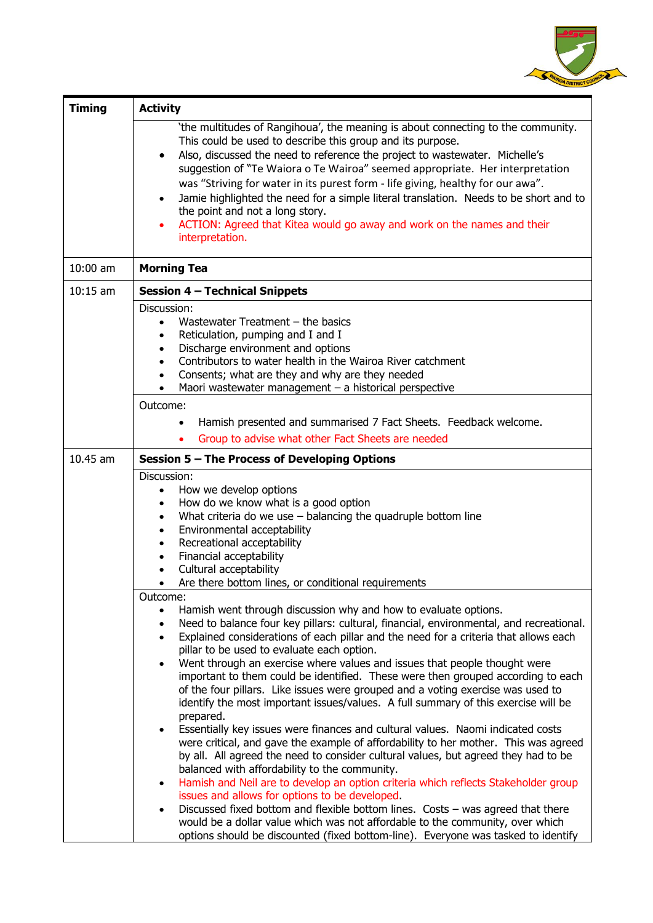

| <b>Timing</b> | <b>Activity</b>                                                                                                                                                          |
|---------------|--------------------------------------------------------------------------------------------------------------------------------------------------------------------------|
|               | 'the multitudes of Rangihoua', the meaning is about connecting to the community.                                                                                         |
|               | This could be used to describe this group and its purpose.                                                                                                               |
|               | Also, discussed the need to reference the project to wastewater. Michelle's<br>$\bullet$                                                                                 |
|               | suggestion of "Te Waiora o Te Wairoa" seemed appropriate. Her interpretation                                                                                             |
|               | was "Striving for water in its purest form - life giving, healthy for our awa".<br>Jamie highlighted the need for a simple literal translation. Needs to be short and to |
|               | the point and not a long story.                                                                                                                                          |
|               | ACTION: Agreed that Kitea would go away and work on the names and their                                                                                                  |
|               | interpretation.                                                                                                                                                          |
|               |                                                                                                                                                                          |
| $10:00$ am    | <b>Morning Tea</b>                                                                                                                                                       |
| $10:15$ am    | <b>Session 4 - Technical Snippets</b>                                                                                                                                    |
|               | Discussion:                                                                                                                                                              |
|               | Wastewater Treatment $-$ the basics<br>$\bullet$<br>Reticulation, pumping and I and I<br>$\bullet$                                                                       |
|               | Discharge environment and options<br>$\bullet$                                                                                                                           |
|               | Contributors to water health in the Wairoa River catchment<br>$\bullet$                                                                                                  |
|               | Consents; what are they and why are they needed<br>$\bullet$                                                                                                             |
|               | Maori wastewater management $-$ a historical perspective<br>$\bullet$                                                                                                    |
|               | Outcome:                                                                                                                                                                 |
|               | Hamish presented and summarised 7 Fact Sheets. Feedback welcome.                                                                                                         |
|               | Group to advise what other Fact Sheets are needed                                                                                                                        |
| 10.45 am      | Session 5 - The Process of Developing Options                                                                                                                            |
|               | Discussion:                                                                                                                                                              |
|               | How we develop options<br>$\bullet$                                                                                                                                      |
|               | How do we know what is a good option<br>$\bullet$                                                                                                                        |
|               | What criteria do we use - balancing the quadruple bottom line<br>$\bullet$                                                                                               |
|               | Environmental acceptability<br>$\bullet$                                                                                                                                 |
|               | Recreational acceptability<br>$\bullet$<br>Financial acceptability<br>$\bullet$                                                                                          |
|               | Cultural acceptability<br>$\bullet$                                                                                                                                      |
|               | Are there bottom lines, or conditional requirements<br>$\bullet$                                                                                                         |
|               | Outcome:                                                                                                                                                                 |
|               | Hamish went through discussion why and how to evaluate options.                                                                                                          |
|               | Need to balance four key pillars: cultural, financial, environmental, and recreational.<br>$\bullet$                                                                     |
|               | Explained considerations of each pillar and the need for a criteria that allows each<br>$\bullet$                                                                        |
|               | pillar to be used to evaluate each option.<br>Went through an exercise where values and issues that people thought were                                                  |
|               | important to them could be identified. These were then grouped according to each                                                                                         |
|               | of the four pillars. Like issues were grouped and a voting exercise was used to                                                                                          |
|               | identify the most important issues/values. A full summary of this exercise will be                                                                                       |
|               | prepared.                                                                                                                                                                |
|               | Essentially key issues were finances and cultural values. Naomi indicated costs                                                                                          |
|               | were critical, and gave the example of affordability to her mother. This was agreed                                                                                      |
|               | by all. All agreed the need to consider cultural values, but agreed they had to be<br>balanced with affordability to the community.                                      |
|               | Hamish and Neil are to develop an option criteria which reflects Stakeholder group<br>$\bullet$                                                                          |
|               | issues and allows for options to be developed.                                                                                                                           |
|               | Discussed fixed bottom and flexible bottom lines. Costs $-$ was agreed that there<br>$\bullet$                                                                           |
|               | would be a dollar value which was not affordable to the community, over which                                                                                            |
|               | options should be discounted (fixed bottom-line). Everyone was tasked to identify                                                                                        |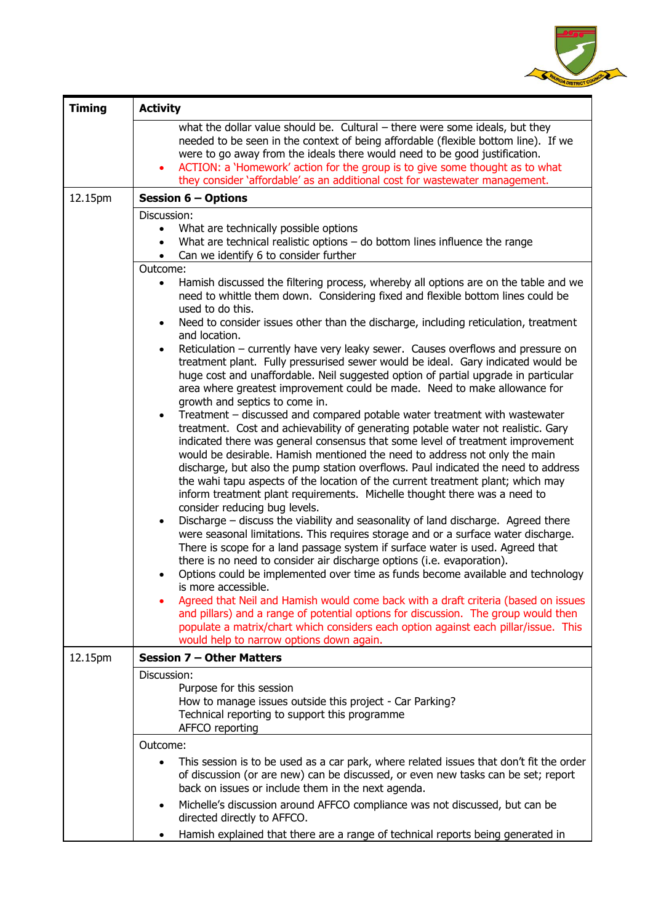

| <b>Timing</b> | <b>Activity</b>                                                                                                                                                                                                                                                                                                                                                                                                                                                                                                                                                                                                                                                                                                                                                                                                                                                                                                                                                                                                                                                                                                                                                                                                                                                                                                                                                                                                                                                                                                                                                                                                                                                                                                                                                                                                                                                                                                                                                                                                                                                                                                                            |  |
|---------------|--------------------------------------------------------------------------------------------------------------------------------------------------------------------------------------------------------------------------------------------------------------------------------------------------------------------------------------------------------------------------------------------------------------------------------------------------------------------------------------------------------------------------------------------------------------------------------------------------------------------------------------------------------------------------------------------------------------------------------------------------------------------------------------------------------------------------------------------------------------------------------------------------------------------------------------------------------------------------------------------------------------------------------------------------------------------------------------------------------------------------------------------------------------------------------------------------------------------------------------------------------------------------------------------------------------------------------------------------------------------------------------------------------------------------------------------------------------------------------------------------------------------------------------------------------------------------------------------------------------------------------------------------------------------------------------------------------------------------------------------------------------------------------------------------------------------------------------------------------------------------------------------------------------------------------------------------------------------------------------------------------------------------------------------------------------------------------------------------------------------------------------------|--|
|               | what the dollar value should be. Cultural $-$ there were some ideals, but they<br>needed to be seen in the context of being affordable (flexible bottom line). If we<br>were to go away from the ideals there would need to be good justification.<br>ACTION: a 'Homework' action for the group is to give some thought as to what<br>$\bullet$<br>they consider 'affordable' as an additional cost for wastewater management.                                                                                                                                                                                                                                                                                                                                                                                                                                                                                                                                                                                                                                                                                                                                                                                                                                                                                                                                                                                                                                                                                                                                                                                                                                                                                                                                                                                                                                                                                                                                                                                                                                                                                                             |  |
| 12.15pm       | <b>Session 6 - Options</b>                                                                                                                                                                                                                                                                                                                                                                                                                                                                                                                                                                                                                                                                                                                                                                                                                                                                                                                                                                                                                                                                                                                                                                                                                                                                                                                                                                                                                                                                                                                                                                                                                                                                                                                                                                                                                                                                                                                                                                                                                                                                                                                 |  |
|               | Discussion:<br>What are technically possible options<br>$\bullet$<br>What are technical realistic options $-$ do bottom lines influence the range<br>$\bullet$<br>Can we identify 6 to consider further<br>$\bullet$<br>Outcome:                                                                                                                                                                                                                                                                                                                                                                                                                                                                                                                                                                                                                                                                                                                                                                                                                                                                                                                                                                                                                                                                                                                                                                                                                                                                                                                                                                                                                                                                                                                                                                                                                                                                                                                                                                                                                                                                                                           |  |
|               | Hamish discussed the filtering process, whereby all options are on the table and we<br>$\bullet$<br>need to whittle them down. Considering fixed and flexible bottom lines could be<br>used to do this.<br>Need to consider issues other than the discharge, including reticulation, treatment<br>$\bullet$<br>and location.<br>Reticulation - currently have very leaky sewer. Causes overflows and pressure on<br>$\bullet$<br>treatment plant. Fully pressurised sewer would be ideal. Gary indicated would be<br>huge cost and unaffordable. Neil suggested option of partial upgrade in particular<br>area where greatest improvement could be made. Need to make allowance for<br>growth and septics to come in.<br>Treatment – discussed and compared potable water treatment with wastewater<br>$\bullet$<br>treatment. Cost and achievability of generating potable water not realistic. Gary<br>indicated there was general consensus that some level of treatment improvement<br>would be desirable. Hamish mentioned the need to address not only the main<br>discharge, but also the pump station overflows. Paul indicated the need to address<br>the wahi tapu aspects of the location of the current treatment plant; which may<br>inform treatment plant requirements. Michelle thought there was a need to<br>consider reducing bug levels.<br>Discharge – discuss the viability and seasonality of land discharge. Agreed there<br>$\bullet$<br>were seasonal limitations. This requires storage and or a surface water discharge.<br>There is scope for a land passage system if surface water is used. Agreed that<br>there is no need to consider air discharge options (i.e. evaporation).<br>Options could be implemented over time as funds become available and technology<br>is more accessible.<br>Agreed that Neil and Hamish would come back with a draft criteria (based on issues<br>and pillars) and a range of potential options for discussion. The group would then<br>populate a matrix/chart which considers each option against each pillar/issue. This<br>would help to narrow options down again. |  |
| 12.15pm       | <b>Session 7 - Other Matters</b>                                                                                                                                                                                                                                                                                                                                                                                                                                                                                                                                                                                                                                                                                                                                                                                                                                                                                                                                                                                                                                                                                                                                                                                                                                                                                                                                                                                                                                                                                                                                                                                                                                                                                                                                                                                                                                                                                                                                                                                                                                                                                                           |  |
|               | Discussion:<br>Purpose for this session<br>How to manage issues outside this project - Car Parking?<br>Technical reporting to support this programme<br>AFFCO reporting                                                                                                                                                                                                                                                                                                                                                                                                                                                                                                                                                                                                                                                                                                                                                                                                                                                                                                                                                                                                                                                                                                                                                                                                                                                                                                                                                                                                                                                                                                                                                                                                                                                                                                                                                                                                                                                                                                                                                                    |  |
|               | Outcome:                                                                                                                                                                                                                                                                                                                                                                                                                                                                                                                                                                                                                                                                                                                                                                                                                                                                                                                                                                                                                                                                                                                                                                                                                                                                                                                                                                                                                                                                                                                                                                                                                                                                                                                                                                                                                                                                                                                                                                                                                                                                                                                                   |  |
|               | This session is to be used as a car park, where related issues that don't fit the order<br>$\bullet$<br>of discussion (or are new) can be discussed, or even new tasks can be set; report<br>back on issues or include them in the next agenda.<br>Michelle's discussion around AFFCO compliance was not discussed, but can be<br>$\bullet$<br>directed directly to AFFCO.                                                                                                                                                                                                                                                                                                                                                                                                                                                                                                                                                                                                                                                                                                                                                                                                                                                                                                                                                                                                                                                                                                                                                                                                                                                                                                                                                                                                                                                                                                                                                                                                                                                                                                                                                                 |  |
|               | Hamish explained that there are a range of technical reports being generated in                                                                                                                                                                                                                                                                                                                                                                                                                                                                                                                                                                                                                                                                                                                                                                                                                                                                                                                                                                                                                                                                                                                                                                                                                                                                                                                                                                                                                                                                                                                                                                                                                                                                                                                                                                                                                                                                                                                                                                                                                                                            |  |